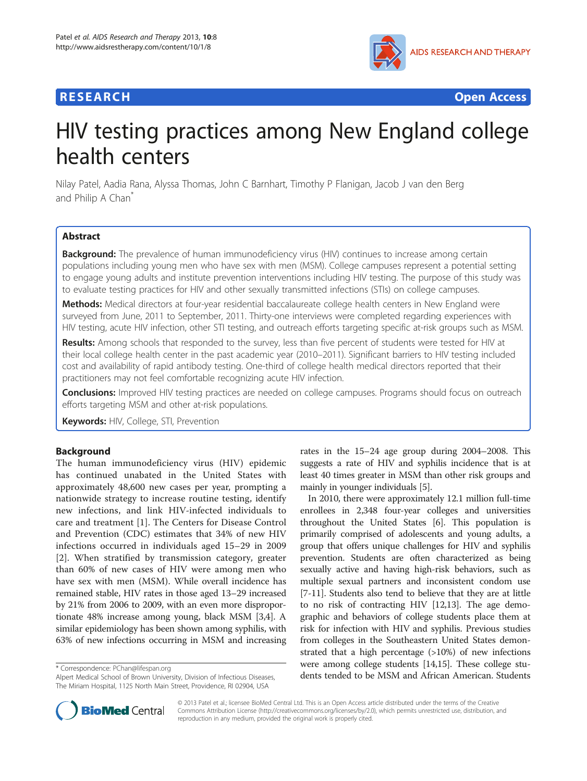# **RESEARCH CHEAR CHEAR CHEAR CHEAR CHEAR CHEAR CHEAR CHEAR CHEAR CHEAR CHEAR CHEAR CHEAR CHEAR CHEAR CHEAR CHEAR**



# HIV testing practices among New England college health centers

Nilay Patel, Aadia Rana, Alyssa Thomas, John C Barnhart, Timothy P Flanigan, Jacob J van den Berg and Philip A Chan<sup>\*</sup>

# Abstract

Background: The prevalence of human immunodeficiency virus (HIV) continues to increase among certain populations including young men who have sex with men (MSM). College campuses represent a potential setting to engage young adults and institute prevention interventions including HIV testing. The purpose of this study was to evaluate testing practices for HIV and other sexually transmitted infections (STIs) on college campuses.

Methods: Medical directors at four-year residential baccalaureate college health centers in New England were surveyed from June, 2011 to September, 2011. Thirty-one interviews were completed regarding experiences with HIV testing, acute HIV infection, other STI testing, and outreach efforts targeting specific at-risk groups such as MSM.

Results: Among schools that responded to the survey, less than five percent of students were tested for HIV at their local college health center in the past academic year (2010–2011). Significant barriers to HIV testing included cost and availability of rapid antibody testing. One-third of college health medical directors reported that their practitioners may not feel comfortable recognizing acute HIV infection.

**Conclusions:** Improved HIV testing practices are needed on college campuses. Programs should focus on outreach efforts targeting MSM and other at-risk populations.

Keywords: HIV, College, STI, Prevention

### Background

The human immunodeficiency virus (HIV) epidemic has continued unabated in the United States with approximately 48,600 new cases per year, prompting a nationwide strategy to increase routine testing, identify new infections, and link HIV-infected individuals to care and treatment [[1\]](#page-6-0). The Centers for Disease Control and Prevention (CDC) estimates that 34% of new HIV infections occurred in individuals aged 15–29 in 2009 [[2\]](#page-6-0). When stratified by transmission category, greater than 60% of new cases of HIV were among men who have sex with men (MSM). While overall incidence has remained stable, HIV rates in those aged 13–29 increased by 21% from 2006 to 2009, with an even more disproportionate 48% increase among young, black MSM [[3](#page-6-0),[4](#page-6-0)]. A similar epidemiology has been shown among syphilis, with 63% of new infections occurring in MSM and increasing

Alpert Medical School of Brown University, Division of Infectious Diseases, The Miriam Hospital, 1125 North Main Street, Providence, RI 02904, USA



In 2010, there were approximately 12.1 million full-time enrollees in 2,348 four-year colleges and universities throughout the United States [\[6](#page-6-0)]. This population is primarily comprised of adolescents and young adults, a group that offers unique challenges for HIV and syphilis prevention. Students are often characterized as being sexually active and having high-risk behaviors, such as multiple sexual partners and inconsistent condom use [[7-11\]](#page-6-0). Students also tend to believe that they are at little to no risk of contracting HIV [[12,13](#page-6-0)]. The age demographic and behaviors of college students place them at risk for infection with HIV and syphilis. Previous studies from colleges in the Southeastern United States demonstrated that a high percentage (>10%) of new infections were among college students [\[14,15\]](#page-6-0). These college stu-torrespondence: [PChan@lifespan.org](mailto:PChan@lifespan.org)<br>Alpert Medical School of Brown University, Division of Infectious Diseases, dents tended to be MSM and African American. Students



© 2013 Patel et al.; licensee BioMed Central Ltd. This is an Open Access article distributed under the terms of the Creative Commons Attribution License [\(http://creativecommons.org/licenses/by/2.0\)](http://creativecommons.org/licenses/by/2.0), which permits unrestricted use, distribution, and reproduction in any medium, provided the original work is properly cited.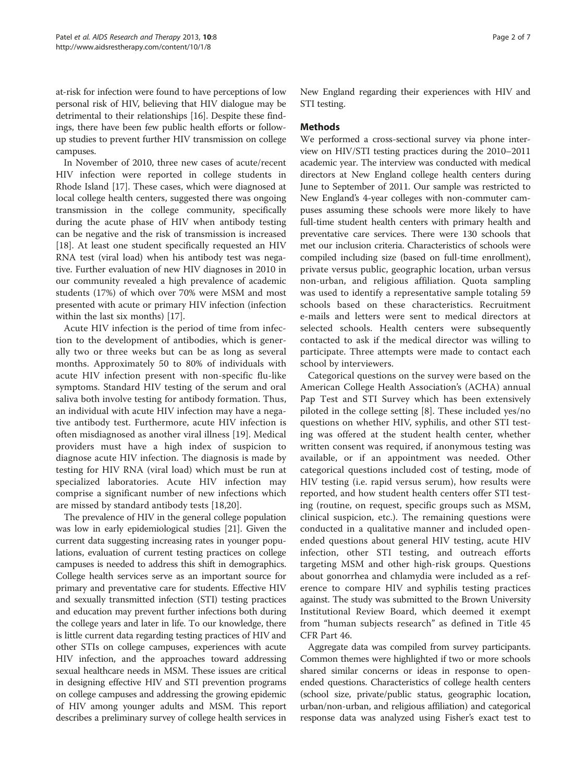at-risk for infection were found to have perceptions of low personal risk of HIV, believing that HIV dialogue may be detrimental to their relationships [\[16\]](#page-6-0). Despite these findings, there have been few public health efforts or followup studies to prevent further HIV transmission on college campuses.

In November of 2010, three new cases of acute/recent HIV infection were reported in college students in Rhode Island [[17\]](#page-6-0). These cases, which were diagnosed at local college health centers, suggested there was ongoing transmission in the college community, specifically during the acute phase of HIV when antibody testing can be negative and the risk of transmission is increased [[18\]](#page-6-0). At least one student specifically requested an HIV RNA test (viral load) when his antibody test was negative. Further evaluation of new HIV diagnoses in 2010 in our community revealed a high prevalence of academic students (17%) of which over 70% were MSM and most presented with acute or primary HIV infection (infection within the last six months) [[17\]](#page-6-0).

Acute HIV infection is the period of time from infection to the development of antibodies, which is generally two or three weeks but can be as long as several months. Approximately 50 to 80% of individuals with acute HIV infection present with non-specific flu-like symptoms. Standard HIV testing of the serum and oral saliva both involve testing for antibody formation. Thus, an individual with acute HIV infection may have a negative antibody test. Furthermore, acute HIV infection is often misdiagnosed as another viral illness [[19](#page-6-0)]. Medical providers must have a high index of suspicion to diagnose acute HIV infection. The diagnosis is made by testing for HIV RNA (viral load) which must be run at specialized laboratories. Acute HIV infection may comprise a significant number of new infections which are missed by standard antibody tests [[18,20\]](#page-6-0).

The prevalence of HIV in the general college population was low in early epidemiological studies [\[21\]](#page-6-0). Given the current data suggesting increasing rates in younger populations, evaluation of current testing practices on college campuses is needed to address this shift in demographics. College health services serve as an important source for primary and preventative care for students. Effective HIV and sexually transmitted infection (STI) testing practices and education may prevent further infections both during the college years and later in life. To our knowledge, there is little current data regarding testing practices of HIV and other STIs on college campuses, experiences with acute HIV infection, and the approaches toward addressing sexual healthcare needs in MSM. These issues are critical in designing effective HIV and STI prevention programs on college campuses and addressing the growing epidemic of HIV among younger adults and MSM. This report describes a preliminary survey of college health services in New England regarding their experiences with HIV and STI testing.

## Methods

We performed a cross-sectional survey via phone interview on HIV/STI testing practices during the 2010–2011 academic year. The interview was conducted with medical directors at New England college health centers during June to September of 2011. Our sample was restricted to New England's 4-year colleges with non-commuter campuses assuming these schools were more likely to have full-time student health centers with primary health and preventative care services. There were 130 schools that met our inclusion criteria. Characteristics of schools were compiled including size (based on full-time enrollment), private versus public, geographic location, urban versus non-urban, and religious affiliation. Quota sampling was used to identify a representative sample totaling 59 schools based on these characteristics. Recruitment e-mails and letters were sent to medical directors at selected schools. Health centers were subsequently contacted to ask if the medical director was willing to participate. Three attempts were made to contact each school by interviewers.

Categorical questions on the survey were based on the American College Health Association's (ACHA) annual Pap Test and STI Survey which has been extensively piloted in the college setting [[8\]](#page-6-0). These included yes/no questions on whether HIV, syphilis, and other STI testing was offered at the student health center, whether written consent was required, if anonymous testing was available, or if an appointment was needed. Other categorical questions included cost of testing, mode of HIV testing (i.e. rapid versus serum), how results were reported, and how student health centers offer STI testing (routine, on request, specific groups such as MSM, clinical suspicion, etc.). The remaining questions were conducted in a qualitative manner and included openended questions about general HIV testing, acute HIV infection, other STI testing, and outreach efforts targeting MSM and other high-risk groups. Questions about gonorrhea and chlamydia were included as a reference to compare HIV and syphilis testing practices against. The study was submitted to the Brown University Institutional Review Board, which deemed it exempt from "human subjects research" as defined in Title 45 CFR Part 46.

Aggregate data was compiled from survey participants. Common themes were highlighted if two or more schools shared similar concerns or ideas in response to openended questions. Characteristics of college health centers (school size, private/public status, geographic location, urban/non-urban, and religious affiliation) and categorical response data was analyzed using Fisher's exact test to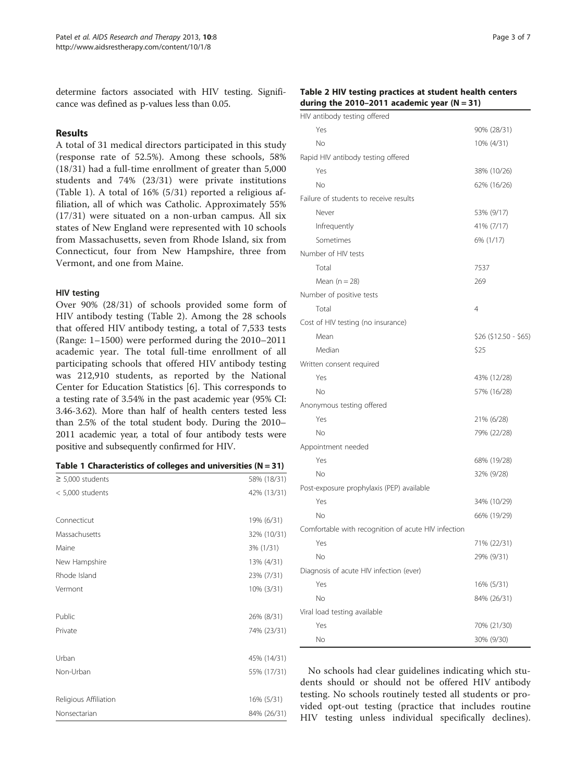determine factors associated with HIV testing. Significance was defined as p-values less than 0.05.

### Results

A total of 31 medical directors participated in this study (response rate of 52.5%). Among these schools, 58% (18/31) had a full-time enrollment of greater than 5,000 students and 74% (23/31) were private institutions (Table 1). A total of 16% (5/31) reported a religious affiliation, all of which was Catholic. Approximately 55% (17/31) were situated on a non-urban campus. All six states of New England were represented with 10 schools from Massachusetts, seven from Rhode Island, six from Connecticut, four from New Hampshire, three from Vermont, and one from Maine.

#### HIV testing

Over 90% (28/31) of schools provided some form of HIV antibody testing (Table 2). Among the 28 schools that offered HIV antibody testing, a total of 7,533 tests (Range: 1–1500) were performed during the 2010–2011 academic year. The total full-time enrollment of all participating schools that offered HIV antibody testing was 212,910 students, as reported by the National Center for Education Statistics [\[6](#page-6-0)]. This corresponds to a testing rate of 3.54% in the past academic year (95% CI: 3.46-3.62). More than half of health centers tested less than 2.5% of the total student body. During the 2010– 2011 academic year, a total of four antibody tests were positive and subsequently confirmed for HIV.

| $\geq$ 5,000 students | 58% (18/31) |
|-----------------------|-------------|
| $< 5,000$ students    | 42% (13/31) |
|                       |             |
| Connecticut           | 19% (6/31)  |
| Massachusetts         | 32% (10/31) |
| Maine                 | 3% (1/31)   |
| New Hampshire         | 13% (4/31)  |
| Rhode Island          | 23% (7/31)  |
| Vermont               | 10% (3/31)  |
|                       |             |
| Public                | 26% (8/31)  |
| Private               | 74% (23/31) |
|                       |             |
| Urban                 | 45% (14/31) |
| Non-Urban             | 55% (17/31) |
|                       |             |
| Religious Affiliation | 16% (5/31)  |
| Nonsectarian          | 84% (26/31) |

#### Table 2 HIV testing practices at student health centers during the 2010–2011 academic year  $(N = 31)$

| HIV antibody testing offered                        |                       |
|-----------------------------------------------------|-----------------------|
| Yes                                                 | 90% (28/31)           |
| No                                                  | 10% (4/31)            |
| Rapid HIV antibody testing offered                  |                       |
| Yes                                                 | 38% (10/26)           |
| No                                                  | 62% (16/26)           |
| Failure of students to receive results              |                       |
| Never                                               | 53% (9/17)            |
| Infrequently                                        | 41% (7/17)            |
| Sometimes                                           | 6% (1/17)             |
| Number of HIV tests                                 |                       |
| Total                                               | 7537                  |
| Mean $(n = 28)$                                     | 269                   |
| Number of positive tests                            |                       |
| Total                                               | $\overline{4}$        |
| Cost of HIV testing (no insurance)                  |                       |
| Mean                                                | \$26 (\$12.50 - \$65) |
| Median                                              | \$25                  |
| Written consent required                            |                       |
| Yes                                                 | 43% (12/28)           |
| No                                                  | 57% (16/28)           |
| Anonymous testing offered                           |                       |
| Yes                                                 | 21% (6/28)            |
| No                                                  | 79% (22/28)           |
| Appointment needed                                  |                       |
| Yes                                                 | 68% (19/28)           |
| No                                                  | 32% (9/28)            |
| Post-exposure prophylaxis (PEP) available           |                       |
| Yes                                                 | 34% (10/29)           |
| No                                                  | 66% (19/29)           |
| Comfortable with recognition of acute HIV infection |                       |
| Yes                                                 | 71% (22/31)           |
| <b>No</b>                                           | 29% (9/31)            |
| Diagnosis of acute HIV infection (ever)             |                       |
| Yes                                                 | 16% (5/31)            |
| No                                                  | 84% (26/31)           |
| Viral load testing available                        |                       |
| Yes                                                 | 70% (21/30)           |
| No                                                  | 30% (9/30)            |

No schools had clear guidelines indicating which students should or should not be offered HIV antibody testing. No schools routinely tested all students or provided opt-out testing (practice that includes routine HIV testing unless individual specifically declines).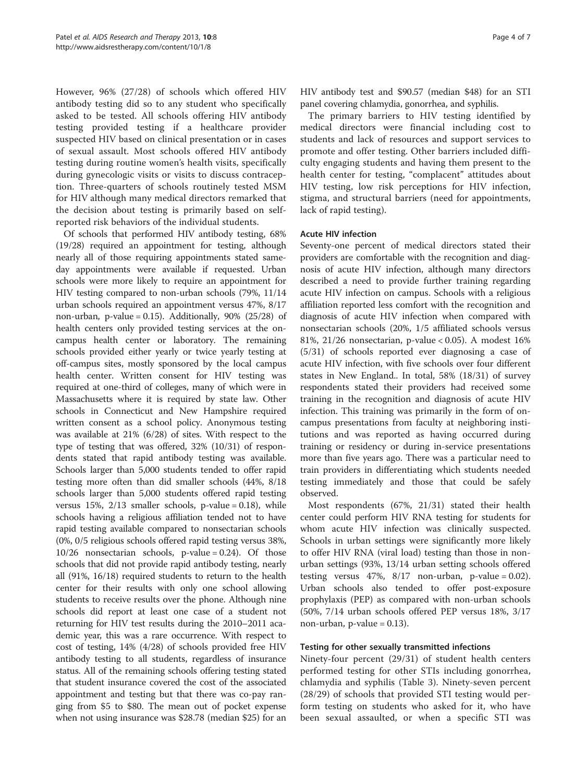However, 96% (27/28) of schools which offered HIV antibody testing did so to any student who specifically asked to be tested. All schools offering HIV antibody testing provided testing if a healthcare provider suspected HIV based on clinical presentation or in cases of sexual assault. Most schools offered HIV antibody testing during routine women's health visits, specifically during gynecologic visits or visits to discuss contraception. Three-quarters of schools routinely tested MSM for HIV although many medical directors remarked that the decision about testing is primarily based on selfreported risk behaviors of the individual students.

Of schools that performed HIV antibody testing, 68% (19/28) required an appointment for testing, although nearly all of those requiring appointments stated sameday appointments were available if requested. Urban schools were more likely to require an appointment for HIV testing compared to non-urban schools (79%, 11/14 urban schools required an appointment versus 47%, 8/17 non-urban, p-value = 0.15). Additionally,  $90\%$  (25/28) of health centers only provided testing services at the oncampus health center or laboratory. The remaining schools provided either yearly or twice yearly testing at off-campus sites, mostly sponsored by the local campus health center. Written consent for HIV testing was required at one-third of colleges, many of which were in Massachusetts where it is required by state law. Other schools in Connecticut and New Hampshire required written consent as a school policy. Anonymous testing was available at 21% (6/28) of sites. With respect to the type of testing that was offered, 32% (10/31) of respondents stated that rapid antibody testing was available. Schools larger than 5,000 students tended to offer rapid testing more often than did smaller schools (44%, 8/18 schools larger than 5,000 students offered rapid testing versus  $15\%$ ,  $2/13$  smaller schools, p-value = 0.18), while schools having a religious affiliation tended not to have rapid testing available compared to nonsectarian schools (0%, 0/5 religious schools offered rapid testing versus 38%, 10/26 nonsectarian schools, p-value =  $0.24$ ). Of those schools that did not provide rapid antibody testing, nearly all (91%, 16/18) required students to return to the health center for their results with only one school allowing students to receive results over the phone. Although nine schools did report at least one case of a student not returning for HIV test results during the 2010–2011 academic year, this was a rare occurrence. With respect to cost of testing, 14% (4/28) of schools provided free HIV antibody testing to all students, regardless of insurance status. All of the remaining schools offering testing stated that student insurance covered the cost of the associated appointment and testing but that there was co-pay ranging from \$5 to \$80. The mean out of pocket expense when not using insurance was \$28.78 (median \$25) for an HIV antibody test and \$90.57 (median \$48) for an STI panel covering chlamydia, gonorrhea, and syphilis.

The primary barriers to HIV testing identified by medical directors were financial including cost to students and lack of resources and support services to promote and offer testing. Other barriers included difficulty engaging students and having them present to the health center for testing, "complacent" attitudes about HIV testing, low risk perceptions for HIV infection, stigma, and structural barriers (need for appointments, lack of rapid testing).

#### Acute HIV infection

Seventy-one percent of medical directors stated their providers are comfortable with the recognition and diagnosis of acute HIV infection, although many directors described a need to provide further training regarding acute HIV infection on campus. Schools with a religious affiliation reported less comfort with the recognition and diagnosis of acute HIV infection when compared with nonsectarian schools (20%, 1/5 affiliated schools versus 81%, 21/26 nonsectarian, p-value < 0.05). A modest 16% (5/31) of schools reported ever diagnosing a case of acute HIV infection, with five schools over four different states in New England.. In total, 58% (18/31) of survey respondents stated their providers had received some training in the recognition and diagnosis of acute HIV infection. This training was primarily in the form of oncampus presentations from faculty at neighboring institutions and was reported as having occurred during training or residency or during in-service presentations more than five years ago. There was a particular need to train providers in differentiating which students needed testing immediately and those that could be safely observed.

Most respondents (67%, 21/31) stated their health center could perform HIV RNA testing for students for whom acute HIV infection was clinically suspected. Schools in urban settings were significantly more likely to offer HIV RNA (viral load) testing than those in nonurban settings (93%, 13/14 urban setting schools offered testing versus  $47\%$ ,  $8/17$  non-urban, p-value = 0.02). Urban schools also tended to offer post-exposure prophylaxis (PEP) as compared with non-urban schools (50%, 7/14 urban schools offered PEP versus 18%, 3/17 non-urban,  $p$ -value = 0.13).

#### Testing for other sexually transmitted infections

Ninety-four percent (29/31) of student health centers performed testing for other STIs including gonorrhea, chlamydia and syphilis (Table [3](#page-4-0)). Ninety-seven percent (28/29) of schools that provided STI testing would perform testing on students who asked for it, who have been sexual assaulted, or when a specific STI was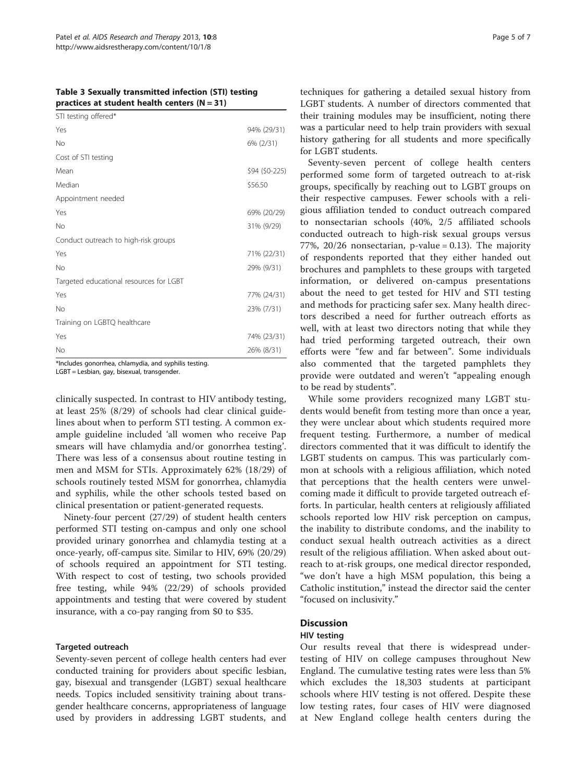<span id="page-4-0"></span>Table 3 Sexually transmitted infection (STI) testing practices at student health centers  $(N = 31)$ 

| STI testing offered*                    |                |
|-----------------------------------------|----------------|
| Yes                                     | 94% (29/31)    |
| No                                      | 6% (2/31)      |
| Cost of STI testing                     |                |
| Mean                                    | \$94 (\$0-225) |
| Median                                  | \$56.50        |
| Appointment needed                      |                |
| Yes                                     | 69% (20/29)    |
| No                                      | 31% (9/29)     |
| Conduct outreach to high-risk groups    |                |
| Yes                                     | 71% (22/31)    |
| No                                      | 29% (9/31)     |
| Targeted educational resources for LGBT |                |
| Yes                                     | 77% (24/31)    |
| No                                      | 23% (7/31)     |
| Training on LGBTQ healthcare            |                |
| Yes                                     | 74% (23/31)    |
| No                                      | 26% (8/31)     |

\*Includes gonorrhea, chlamydia, and syphilis testing.

LGBT = Lesbian, gay, bisexual, transgender.

clinically suspected. In contrast to HIV antibody testing, at least 25% (8/29) of schools had clear clinical guidelines about when to perform STI testing. A common example guideline included 'all women who receive Pap smears will have chlamydia and/or gonorrhea testing'. There was less of a consensus about routine testing in men and MSM for STIs. Approximately 62% (18/29) of schools routinely tested MSM for gonorrhea, chlamydia and syphilis, while the other schools tested based on clinical presentation or patient-generated requests.

Ninety-four percent (27/29) of student health centers performed STI testing on-campus and only one school provided urinary gonorrhea and chlamydia testing at a once-yearly, off-campus site. Similar to HIV, 69% (20/29) of schools required an appointment for STI testing. With respect to cost of testing, two schools provided free testing, while 94% (22/29) of schools provided appointments and testing that were covered by student insurance, with a co-pay ranging from \$0 to \$35.

#### Targeted outreach

Seventy-seven percent of college health centers had ever conducted training for providers about specific lesbian, gay, bisexual and transgender (LGBT) sexual healthcare needs. Topics included sensitivity training about transgender healthcare concerns, appropriateness of language used by providers in addressing LGBT students, and

techniques for gathering a detailed sexual history from LGBT students. A number of directors commented that their training modules may be insufficient, noting there was a particular need to help train providers with sexual history gathering for all students and more specifically for LGBT students.

Seventy-seven percent of college health centers performed some form of targeted outreach to at-risk groups, specifically by reaching out to LGBT groups on their respective campuses. Fewer schools with a religious affiliation tended to conduct outreach compared to nonsectarian schools (40%, 2/5 affiliated schools conducted outreach to high-risk sexual groups versus 77%,  $20/26$  nonsectarian, p-value = 0.13). The majority of respondents reported that they either handed out brochures and pamphlets to these groups with targeted information, or delivered on-campus presentations about the need to get tested for HIV and STI testing and methods for practicing safer sex. Many health directors described a need for further outreach efforts as well, with at least two directors noting that while they had tried performing targeted outreach, their own efforts were "few and far between". Some individuals also commented that the targeted pamphlets they provide were outdated and weren't "appealing enough to be read by students".

While some providers recognized many LGBT students would benefit from testing more than once a year, they were unclear about which students required more frequent testing. Furthermore, a number of medical directors commented that it was difficult to identify the LGBT students on campus. This was particularly common at schools with a religious affiliation, which noted that perceptions that the health centers were unwelcoming made it difficult to provide targeted outreach efforts. In particular, health centers at religiously affiliated schools reported low HIV risk perception on campus, the inability to distribute condoms, and the inability to conduct sexual health outreach activities as a direct result of the religious affiliation. When asked about outreach to at-risk groups, one medical director responded, "we don't have a high MSM population, this being a Catholic institution," instead the director said the center "focused on inclusivity."

# **Discussion**

#### HIV testing

Our results reveal that there is widespread undertesting of HIV on college campuses throughout New England. The cumulative testing rates were less than 5% which excludes the 18,303 students at participant schools where HIV testing is not offered. Despite these low testing rates, four cases of HIV were diagnosed at New England college health centers during the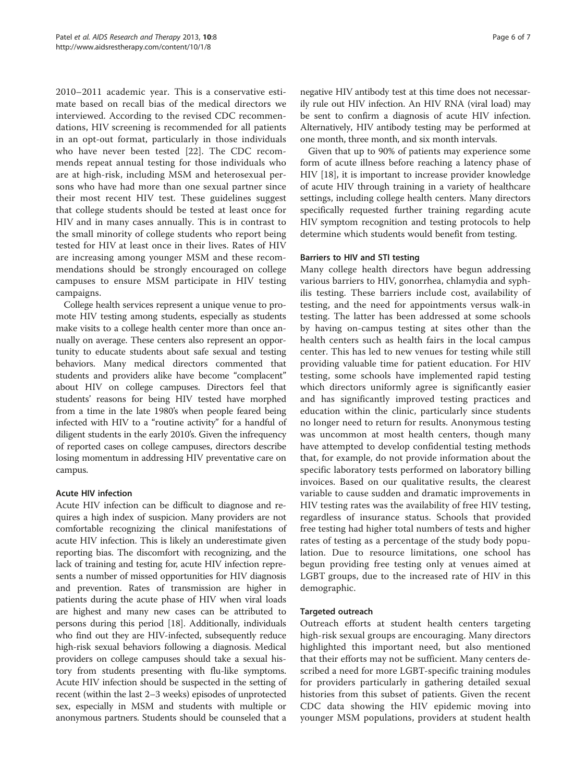2010–2011 academic year. This is a conservative estimate based on recall bias of the medical directors we interviewed. According to the revised CDC recommendations, HIV screening is recommended for all patients in an opt-out format, particularly in those individuals who have never been tested [\[22](#page-6-0)]. The CDC recommends repeat annual testing for those individuals who are at high-risk, including MSM and heterosexual persons who have had more than one sexual partner since their most recent HIV test. These guidelines suggest that college students should be tested at least once for HIV and in many cases annually. This is in contrast to the small minority of college students who report being tested for HIV at least once in their lives. Rates of HIV are increasing among younger MSM and these recommendations should be strongly encouraged on college campuses to ensure MSM participate in HIV testing campaigns.

College health services represent a unique venue to promote HIV testing among students, especially as students make visits to a college health center more than once annually on average. These centers also represent an opportunity to educate students about safe sexual and testing behaviors. Many medical directors commented that students and providers alike have become "complacent" about HIV on college campuses. Directors feel that students' reasons for being HIV tested have morphed from a time in the late 1980's when people feared being infected with HIV to a "routine activity" for a handful of diligent students in the early 2010's. Given the infrequency of reported cases on college campuses, directors describe losing momentum in addressing HIV preventative care on campus.

### Acute HIV infection

Acute HIV infection can be difficult to diagnose and requires a high index of suspicion. Many providers are not comfortable recognizing the clinical manifestations of acute HIV infection. This is likely an underestimate given reporting bias. The discomfort with recognizing, and the lack of training and testing for, acute HIV infection represents a number of missed opportunities for HIV diagnosis and prevention. Rates of transmission are higher in patients during the acute phase of HIV when viral loads are highest and many new cases can be attributed to persons during this period [\[18](#page-6-0)]. Additionally, individuals who find out they are HIV-infected, subsequently reduce high-risk sexual behaviors following a diagnosis. Medical providers on college campuses should take a sexual history from students presenting with flu-like symptoms. Acute HIV infection should be suspected in the setting of recent (within the last 2–3 weeks) episodes of unprotected sex, especially in MSM and students with multiple or anonymous partners. Students should be counseled that a

negative HIV antibody test at this time does not necessarily rule out HIV infection. An HIV RNA (viral load) may be sent to confirm a diagnosis of acute HIV infection. Alternatively, HIV antibody testing may be performed at one month, three month, and six month intervals.

Given that up to 90% of patients may experience some form of acute illness before reaching a latency phase of HIV [[18\]](#page-6-0), it is important to increase provider knowledge of acute HIV through training in a variety of healthcare settings, including college health centers. Many directors specifically requested further training regarding acute HIV symptom recognition and testing protocols to help determine which students would benefit from testing.

#### Barriers to HIV and STI testing

Many college health directors have begun addressing various barriers to HIV, gonorrhea, chlamydia and syphilis testing. These barriers include cost, availability of testing, and the need for appointments versus walk-in testing. The latter has been addressed at some schools by having on-campus testing at sites other than the health centers such as health fairs in the local campus center. This has led to new venues for testing while still providing valuable time for patient education. For HIV testing, some schools have implemented rapid testing which directors uniformly agree is significantly easier and has significantly improved testing practices and education within the clinic, particularly since students no longer need to return for results. Anonymous testing was uncommon at most health centers, though many have attempted to develop confidential testing methods that, for example, do not provide information about the specific laboratory tests performed on laboratory billing invoices. Based on our qualitative results, the clearest variable to cause sudden and dramatic improvements in HIV testing rates was the availability of free HIV testing, regardless of insurance status. Schools that provided free testing had higher total numbers of tests and higher rates of testing as a percentage of the study body population. Due to resource limitations, one school has begun providing free testing only at venues aimed at LGBT groups, due to the increased rate of HIV in this demographic.

#### Targeted outreach

Outreach efforts at student health centers targeting high-risk sexual groups are encouraging. Many directors highlighted this important need, but also mentioned that their efforts may not be sufficient. Many centers described a need for more LGBT-specific training modules for providers particularly in gathering detailed sexual histories from this subset of patients. Given the recent CDC data showing the HIV epidemic moving into younger MSM populations, providers at student health